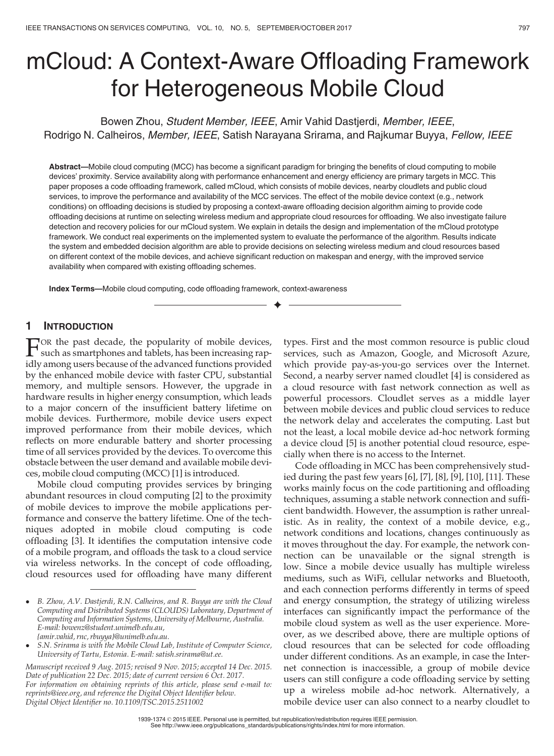# mCloud: A Context-Aware Offloading Framework for Heterogeneous Mobile Cloud

Bowen Zhou, Student Member, IEEE, Amir Vahid Dastjerdi, Member, IEEE, Rodrigo N. Calheiros, Member, IEEE, Satish Narayana Srirama, and Rajkumar Buyya, Fellow, IEEE

Abstract—Mobile cloud computing (MCC) has become a significant paradigm for bringing the benefits of cloud computing to mobile devices' proximity. Service availability along with performance enhancement and energy efficiency are primary targets in MCC. This paper proposes a code offloading framework, called mCloud, which consists of mobile devices, nearby cloudlets and public cloud services, to improve the performance and availability of the MCC services. The effect of the mobile device context (e.g., network conditions) on offloading decisions is studied by proposing a context-aware offloading decision algorithm aiming to provide code offloading decisions at runtime on selecting wireless medium and appropriate cloud resources for offloading. We also investigate failure detection and recovery policies for our mCloud system. We explain in details the design and implementation of the mCloud prototype framework. We conduct real experiments on the implemented system to evaluate the performance of the algorithm. Results indicate the system and embedded decision algorithm are able to provide decisions on selecting wireless medium and cloud resources based on different context of the mobile devices, and achieve significant reduction on makespan and energy, with the improved service availability when compared with existing offloading schemes.

 $\bigstar$ 

Index Terms—Mobile cloud computing, code offloading framework, context-awareness

## 1 INTRODUCTION

FOR the past decade, the popularity of mobile devices,<br>such as smartphones and tablets, has been increasing rap-<br>idly among users because of the advanced functions provided idly among users because of the advanced functions provided by the enhanced mobile device with faster CPU, substantial memory, and multiple sensors. However, the upgrade in hardware results in higher energy consumption, which leads to a major concern of the insufficient battery lifetime on mobile devices. Furthermore, mobile device users expect improved performance from their mobile devices, which reflects on more endurable battery and shorter processing time of all services provided by the devices. To overcome this obstacle between the user demand and available mobile devices, mobile cloud computing (MCC) [1] is introduced.

Mobile cloud computing provides services by bringing abundant resources in cloud computing [2] to the proximity of mobile devices to improve the mobile applications performance and conserve the battery lifetime. One of the techniques adopted in mobile cloud computing is code offloading [3]. It identifies the computation intensive code of a mobile program, and offloads the task to a cloud service via wireless networks. In the concept of code offloading, cloud resources used for offloading have many different

Manuscript received 9 Aug. 2015; revised 9 Nov. 2015; accepted 14 Dec. 2015. Date of publication 22 Dec. 2015; date of current version 6 Oct. 2017. For information on obtaining reprints of this article, please send e-mail to: reprints@ieee.org, and reference the Digital Object Identifier below. Digital Object Identifier no. 10.1109/TSC.2015.2511002

types. First and the most common resource is public cloud services, such as Amazon, Google, and Microsoft Azure, which provide pay-as-you-go services over the Internet. Second, a nearby server named cloudlet [4] is considered as a cloud resource with fast network connection as well as powerful processors. Cloudlet serves as a middle layer between mobile devices and public cloud services to reduce the network delay and accelerates the computing. Last but not the least, a local mobile device ad-hoc network forming a device cloud [5] is another potential cloud resource, especially when there is no access to the Internet.

Code offloading in MCC has been comprehensively studied during the past few years [6], [7], [8], [9], [10], [11]. These works mainly focus on the code partitioning and offloading techniques, assuming a stable network connection and sufficient bandwidth. However, the assumption is rather unrealistic. As in reality, the context of a mobile device, e.g., network conditions and locations, changes continuously as it moves throughout the day. For example, the network connection can be unavailable or the signal strength is low. Since a mobile device usually has multiple wireless mediums, such as WiFi, cellular networks and Bluetooth, and each connection performs differently in terms of speed and energy consumption, the strategy of utilizing wireless interfaces can significantly impact the performance of the mobile cloud system as well as the user experience. Moreover, as we described above, there are multiple options of cloud resources that can be selected for code offloading under different conditions. As an example, in case the Internet connection is inaccessible, a group of mobile device users can still configure a code offloading service by setting up a wireless mobile ad-hoc network. Alternatively, a mobile device user can also connect to a nearby cloudlet to

B. Zhou, A.V. Dastjerdi, R.N. Calheiros, and R. Buyya are with the Cloud Computing and Distributed Systems (CLOUDS) Laboratary, Department of Computing and Information Systems, University of Melbourne, Australia. E-mail: bowenz@student.unimelb.edu.au, {amir.vahid, rnc, rbuyya}@unimelb.edu.au.

S.N. Srirama is with the Mobile Cloud Lab, Institute of Computer Science, University of Tartu, Estonia. E-mail: satish.srirama@ut.ee.

<sup>1939-1374</sup> 2015 IEEE. Personal use is permitted, but republication/redistribution requires IEEE permission. See http://www.ieee.org/publications\_standards/publications/rights/index.html for more information.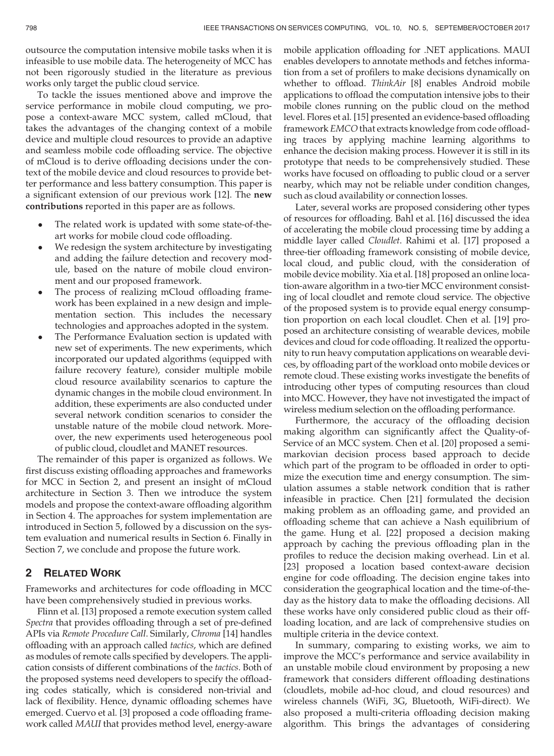outsource the computation intensive mobile tasks when it is infeasible to use mobile data. The heterogeneity of MCC has not been rigorously studied in the literature as previous works only target the public cloud service.

To tackle the issues mentioned above and improve the service performance in mobile cloud computing, we propose a context-aware MCC system, called mCloud, that takes the advantages of the changing context of a mobile device and multiple cloud resources to provide an adaptive and seamless mobile code offloading service. The objective of mCloud is to derive offloading decisions under the context of the mobile device and cloud resources to provide better performance and less battery consumption. This paper is a significant extension of our previous work [12]. The new contributions reported in this paper are as follows.

- The related work is updated with some state-of-theart works for mobile cloud code offloading.
- We redesign the system architecture by investigating and adding the failure detection and recovery module, based on the nature of mobile cloud environment and our proposed framework.
- The process of realizing mCloud offloading framework has been explained in a new design and implementation section. This includes the necessary technologies and approaches adopted in the system.
- The Performance Evaluation section is updated with new set of experiments. The new experiments, which incorporated our updated algorithms (equipped with failure recovery feature), consider multiple mobile cloud resource availability scenarios to capture the dynamic changes in the mobile cloud environment. In addition, these experiments are also conducted under several network condition scenarios to consider the unstable nature of the mobile cloud network. Moreover, the new experiments used heterogeneous pool of public cloud, cloudlet and MANET resources.

The remainder of this paper is organized as follows. We first discuss existing offloading approaches and frameworks for MCC in Section 2, and present an insight of mCloud architecture in Section 3. Then we introduce the system models and propose the context-aware offloading algorithm in Section 4. The approaches for system implementation are introduced in Section 5, followed by a discussion on the system evaluation and numerical results in Section 6. Finally in Section 7, we conclude and propose the future work.

# 2 RELATED WORK

Frameworks and architectures for code offloading in MCC have been comprehensively studied in previous works.

Flinn et al. [13] proposed a remote execution system called Spectra that provides offloading through a set of pre-defined APIs via Remote Procedure Call. Similarly, Chroma [14] handles offloading with an approach called tactics, which are defined as modules of remote calls specified by developers. The application consists of different combinations of the tactics. Both of the proposed systems need developers to specify the offloading codes statically, which is considered non-trivial and lack of flexibility. Hence, dynamic offloading schemes have emerged. Cuervo et al. [3] proposed a code offloading framework called MAUI that provides method level, energy-aware

mobile application offloading for .NET applications. MAUI enables developers to annotate methods and fetches information from a set of profilers to make decisions dynamically on whether to offload. ThinkAir [8] enables Android mobile applications to offload the computation intensive jobs to their mobile clones running on the public cloud on the method level. Flores et al. [15] presented an evidence-based offloading framework EMCO that extracts knowledge from code offloading traces by applying machine learning algorithms to enhance the decision making process. However it is still in its prototype that needs to be comprehensively studied. These works have focused on offloading to public cloud or a server nearby, which may not be reliable under condition changes, such as cloud availability or connection losses.

Later, several works are proposed considering other types of resources for offloading. Bahl et al. [16] discussed the idea of accelerating the mobile cloud processing time by adding a middle layer called Cloudlet. Rahimi et al. [17] proposed a three-tier offloading framework consisting of mobile device, local cloud, and public cloud, with the consideration of mobile device mobility. Xia et al. [18] proposed an online location-aware algorithm in a two-tier MCC environment consisting of local cloudlet and remote cloud service. The objective of the proposed system is to provide equal energy consumption proportion on each local cloudlet. Chen et al. [19] proposed an architecture consisting of wearable devices, mobile devices and cloud for code offloading. It realized the opportunity to run heavy computation applications on wearable devices, by offloading part of the workload onto mobile devices or remote cloud. These existing works investigate the benefits of introducing other types of computing resources than cloud into MCC. However, they have not investigated the impact of wireless medium selection on the offloading performance.

Furthermore, the accuracy of the offloading decision making algorithm can significantly affect the Quality-of-Service of an MCC system. Chen et al. [20] proposed a semimarkovian decision process based approach to decide which part of the program to be offloaded in order to optimize the execution time and energy consumption. The simulation assumes a stable network condition that is rather infeasible in practice. Chen [21] formulated the decision making problem as an offloading game, and provided an offloading scheme that can achieve a Nash equilibrium of the game. Hung et al. [22] proposed a decision making approach by caching the previous offloading plan in the profiles to reduce the decision making overhead. Lin et al. [23] proposed a location based context-aware decision engine for code offloading. The decision engine takes into consideration the geographical location and the time-of-theday as the history data to make the offloading decisions. All these works have only considered public cloud as their offloading location, and are lack of comprehensive studies on multiple criteria in the device context.

In summary, comparing to existing works, we aim to improve the MCC's performance and service availability in an unstable mobile cloud environment by proposing a new framework that considers different offloading destinations (cloudlets, mobile ad-hoc cloud, and cloud resources) and wireless channels (WiFi, 3G, Bluetooth, WiFi-direct). We also proposed a multi-criteria offloading decision making algorithm. This brings the advantages of considering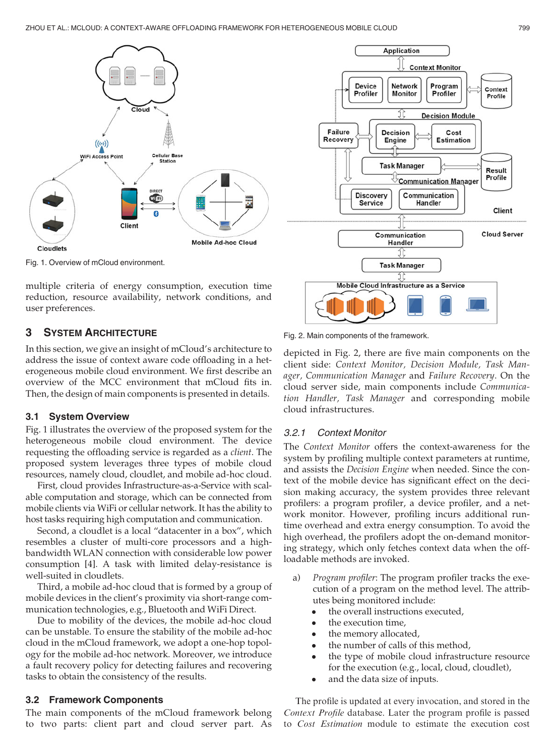

Fig. 1. Overview of mCloud environment.

multiple criteria of energy consumption, execution time reduction, resource availability, network conditions, and user preferences.

## 3 SYSTEM ARCHITECTURE

In this section, we give an insight of mCloud's architecture to address the issue of context aware code offloading in a heterogeneous mobile cloud environment. We first describe an overview of the MCC environment that mCloud fits in. Then, the design of main components is presented in details.

#### 3.1 System Overview

Fig. 1 illustrates the overview of the proposed system for the heterogeneous mobile cloud environment. The device requesting the offloading service is regarded as a client. The proposed system leverages three types of mobile cloud resources, namely cloud, cloudlet, and mobile ad-hoc cloud.

First, cloud provides Infrastructure-as-a-Service with scalable computation and storage, which can be connected from mobile clients via WiFi or cellular network. It has the ability to host tasks requiring high computation and communication.

Second, a cloudlet is a local "datacenter in a box", which resembles a cluster of multi-core processors and a highbandwidth WLAN connection with considerable low power consumption [4]. A task with limited delay-resistance is well-suited in cloudlets.

Third, a mobile ad-hoc cloud that is formed by a group of mobile devices in the client's proximity via short-range communication technologies, e.g., Bluetooth and WiFi Direct.

Due to mobility of the devices, the mobile ad-hoc cloud can be unstable. To ensure the stability of the mobile ad-hoc cloud in the mCloud framework, we adopt a one-hop topology for the mobile ad-hoc network. Moreover, we introduce a fault recovery policy for detecting failures and recovering tasks to obtain the consistency of the results.

#### 3.2 Framework Components

The main components of the mCloud framework belong to two parts: client part and cloud server part. As



Fig. 2. Main components of the framework.

depicted in Fig. 2, there are five main components on the client side: Context Monitor, Decision Module, Task Manager, Communication Manager and Failure Recovery. On the cloud server side, main components include Communication Handler, Task Manager and corresponding mobile cloud infrastructures.

## 3.2.1 Context Monitor

The Context Monitor offers the context-awareness for the system by profiling multiple context parameters at runtime, and assists the Decision Engine when needed. Since the context of the mobile device has significant effect on the decision making accuracy, the system provides three relevant profilers: a program profiler, a device profiler, and a network monitor. However, profiling incurs additional runtime overhead and extra energy consumption. To avoid the high overhead, the profilers adopt the on-demand monitoring strategy, which only fetches context data when the offloadable methods are invoked.

- a) Program profiler: The program profiler tracks the execution of a program on the method level. The attributes being monitored include:
	- the overall instructions executed,
	- the execution time,
	- the memory allocated,
	- the number of calls of this method,
	- the type of mobile cloud infrastructure resource for the execution (e.g., local, cloud, cloudlet),
	- and the data size of inputs.

The profile is updated at every invocation, and stored in the Context Profile database. Later the program profile is passed to Cost Estimation module to estimate the execution cost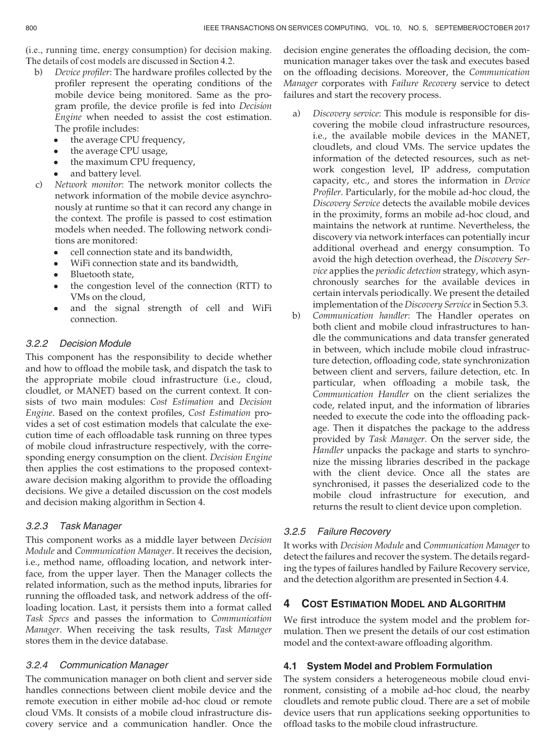(i.e., running time, energy consumption) for decision making. The details of cost models are discussed in Section 4.2.

- Device profiler: The hardware profiles collected by the profiler represent the operating conditions of the mobile device being monitored. Same as the program profile, the device profile is fed into Decision Engine when needed to assist the cost estimation. The profile includes:
	- the average CPU frequency,<br>• the average CPU usage.
	- the average CPU usage,<br>• the maximum CPU freq
	- the maximum CPU frequency,<br>and battery level.
	-
- and battery level.<br>
c) Network monitor: The network monitor collects the network information of the mobile device asynchronously at runtime so that it can record any change in the context. The profile is passed to cost estimation models when needed. The following network conditions are monitored:
	- cell connection state and its bandwidth,<br>• WiFi connection state and its bandwidth
	- WiFi connection state and its bandwidth,
	- Bluetooth state,
	- the congestion level of the connection (RTT) to VMs on the cloud,
	- and the signal strength of cell and WiFi connection.

## 3.2.2 Decision Module

This component has the responsibility to decide whether and how to offload the mobile task, and dispatch the task to the appropriate mobile cloud infrastructure (i.e., cloud, cloudlet, or MANET) based on the current context. It consists of two main modules: Cost Estimation and Decision Engine. Based on the context profiles, Cost Estimation provides a set of cost estimation models that calculate the execution time of each offloadable task running on three types of mobile cloud infrastructure respectively, with the corresponding energy consumption on the client. Decision Engine then applies the cost estimations to the proposed contextaware decision making algorithm to provide the offloading decisions. We give a detailed discussion on the cost models and decision making algorithm in Section 4.

# 3.2.3 Task Manager

This component works as a middle layer between Decision Module and Communication Manager. It receives the decision, i.e., method name, offloading location, and network interface, from the upper layer. Then the Manager collects the related information, such as the method inputs, libraries for running the offloaded task, and network address of the offloading location. Last, it persists them into a format called Task Specs and passes the information to Communication Manager. When receiving the task results, Task Manager stores them in the device database.

# 3.2.4 Communication Manager

The communication manager on both client and server side handles connections between client mobile device and the remote execution in either mobile ad-hoc cloud or remote cloud VMs. It consists of a mobile cloud infrastructure discovery service and a communication handler. Once the decision engine generates the offloading decision, the communication manager takes over the task and executes based on the offloading decisions. Moreover, the Communication Manager corporates with Failure Recovery service to detect failures and start the recovery process.

- a) Discovery service: This module is responsible for discovering the mobile cloud infrastructure resources, i.e., the available mobile devices in the MANET, cloudlets, and cloud VMs. The service updates the information of the detected resources, such as network congestion level, IP address, computation capacity, etc., and stores the information in Device Profiler. Particularly, for the mobile ad-hoc cloud, the Discovery Service detects the available mobile devices in the proximity, forms an mobile ad-hoc cloud, and maintains the network at runtime. Nevertheless, the discovery via network interfaces can potentially incur additional overhead and energy consumption. To avoid the high detection overhead, the Discovery Service applies the periodic detection strategy, which asynchronously searches for the available devices in certain intervals periodically. We present the detailed implementation of the Discovery Service in Section 5.3.
- b) Communication handler: The Handler operates on both client and mobile cloud infrastructures to handle the communications and data transfer generated in between, which include mobile cloud infrastructure detection, offloading code, state synchronization between client and servers, failure detection, etc. In particular, when offloading a mobile task, the Communication Handler on the client serializes the code, related input, and the information of libraries needed to execute the code into the offloading package. Then it dispatches the package to the address provided by Task Manager. On the server side, the Handler unpacks the package and starts to synchronize the missing libraries described in the package with the client device. Once all the states are synchronised, it passes the deserialized code to the mobile cloud infrastructure for execution, and returns the result to client device upon completion.

# 3.2.5 Failure Recovery

It works with Decision Module and Communication Manager to detect the failures and recover the system. The details regarding the types of failures handled by Failure Recovery service, and the detection algorithm are presented in Section 4.4.

# 4 COST ESTIMATION MODEL AND ALGORITHM

We first introduce the system model and the problem formulation. Then we present the details of our cost estimation model and the context-aware offloading algorithm.

# 4.1 System Model and Problem Formulation

The system considers a heterogeneous mobile cloud environment, consisting of a mobile ad-hoc cloud, the nearby cloudlets and remote public cloud. There are a set of mobile device users that run applications seeking opportunities to offload tasks to the mobile cloud infrastructure.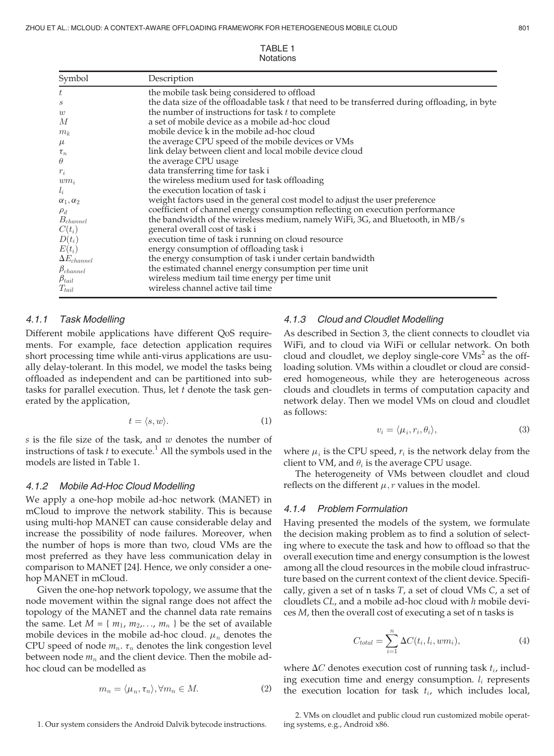TABLE 1 **Notations** 

| Symbol                  | Description                                                                                      |
|-------------------------|--------------------------------------------------------------------------------------------------|
|                         | the mobile task being considered to offload                                                      |
| $\boldsymbol{s}$        | the data size of the offloadable task $t$ that need to be transferred during offloading, in byte |
| w                       | the number of instructions for task $t$ to complete                                              |
| М                       | a set of mobile device as a mobile ad-hoc cloud                                                  |
| $m_k$                   | mobile device k in the mobile ad-hoc cloud                                                       |
| $\mu$                   | the average CPU speed of the mobile devices or VMs                                               |
| $\tau_n$                | link delay between client and local mobile device cloud                                          |
| $\theta$                | the average CPU usage                                                                            |
| $r_i$                   | data transferring time for task i                                                                |
| $wm_i$                  | the wireless medium used for task offloading                                                     |
| $l_i$                   | the execution location of task i                                                                 |
| $\alpha_1, \alpha_2$    | weight factors used in the general cost model to adjust the user preference                      |
| $\rho_d$                | coefficient of channel energy consumption reflecting on execution performance                    |
| $\mathcal{B}_{channel}$ | the bandwidth of the wireless medium, namely WiFi, 3G, and Bluetooth, in MB/s                    |
| $C(t_i)$                | general overall cost of task i                                                                   |
| $D(t_i)$                | execution time of task i running on cloud resource                                               |
| $E(t_i)$                | energy consumption of offloading task i                                                          |
| $\Delta E_{channel}$    | the energy consumption of task i under certain bandwidth                                         |
| $\beta_{channel}$       | the estimated channel energy consumption per time unit                                           |
| $\beta_{tail}$          | wireless medium tail time energy per time unit                                                   |
| $T_{tail}$              | wireless channel active tail time                                                                |

## 4.1.1 Task Modelling

Different mobile applications have different QoS requirements. For example, face detection application requires short processing time while anti-virus applications are usually delay-tolerant. In this model, we model the tasks being offloaded as independent and can be partitioned into subtasks for parallel execution. Thus, let  $t$  denote the task generated by the application,

$$
t = \langle s, w \rangle. \tag{1}
$$

 $s$  is the file size of the task, and  $w$  denotes the number of instructions of task  $t$  to execute.<sup>1</sup> All the symbols used in the models are listed in Table 1.

#### 4.1.2 Mobile Ad-Hoc Cloud Modelling

We apply a one-hop mobile ad-hoc network (MANET) in mCloud to improve the network stability. This is because using multi-hop MANET can cause considerable delay and increase the possibility of node failures. Moreover, when the number of hops is more than two, cloud VMs are the most preferred as they have less communication delay in comparison to MANET [24]. Hence, we only consider a onehop MANET in mCloud.

Given the one-hop network topology, we assume that the node movement within the signal range does not affect the topology of the MANET and the channel data rate remains the same. Let  $M = \{m_1, m_2, \ldots, m_n\}$  be the set of available mobile devices in the mobile ad-hoc cloud.  $\mu_n$  denotes the CPU speed of node  $m_n$ .  $\tau_n$  denotes the link congestion level between node  $m_n$  and the client device. Then the mobile adhoc cloud can be modelled as

$$
m_n = \langle \mu_n, \tau_n \rangle, \forall m_n \in M. \tag{2}
$$

#### 4.1.3 Cloud and Cloudlet Modelling

As described in Section 3, the client connects to cloudlet via WiFi, and to cloud via WiFi or cellular network. On both cloud and cloudlet, we deploy single-core  $VMs<sup>2</sup>$  as the offloading solution. VMs within a cloudlet or cloud are considered homogeneous, while they are heterogeneous across clouds and cloudlets in terms of computation capacity and network delay. Then we model VMs on cloud and cloudlet as follows:

$$
v_i = \langle \mu_i, r_i, \theta_i \rangle, \tag{3}
$$

where  $\mu_i$  is the CPU speed,  $r_i$  is the network delay from the client to VM, and  $\theta_i$  is the average CPU usage.

The heterogeneity of VMs between cloudlet and cloud reflects on the different  $\mu$ ,  $r$  values in the model.

#### 4.1.4 Problem Formulation

Having presented the models of the system, we formulate the decision making problem as to find a solution of selecting where to execute the task and how to offload so that the overall execution time and energy consumption is the lowest among all the cloud resources in the mobile cloud infrastructure based on the current context of the client device. Specifically, given a set of n tasks T, a set of cloud VMs C, a set of cloudlets CL, and a mobile ad-hoc cloud with h mobile devices M, then the overall cost of executing a set of n tasks is

$$
C_{total} = \sum_{i=1}^{n} \Delta C(t_i, l_i, w m_i), \qquad (4)
$$

where  $\Delta C$  denotes execution cost of running task  $t_i$ , including execution time and energy consumption.  $l_i$  represents the execution location for task  $t_i$ , which includes local,

2. VMs on cloudlet and public cloud run customized mobile operating systems, e.g., Android x86.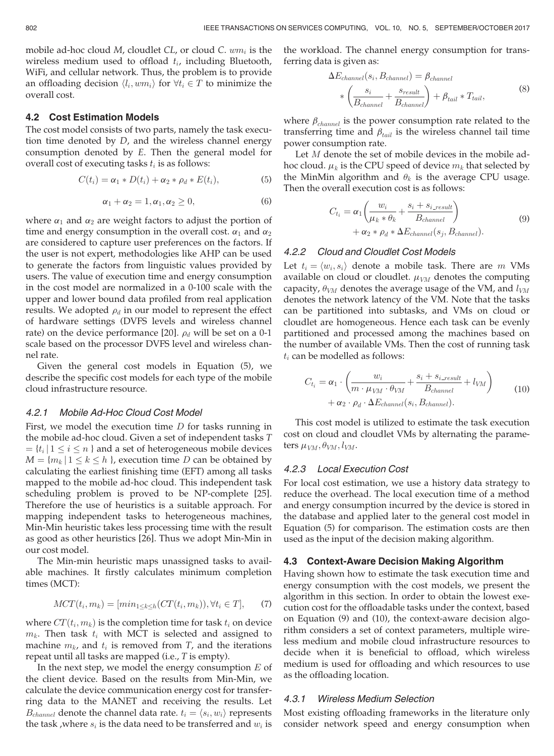mobile ad-hoc cloud M, cloudlet CL, or cloud C.  $wm_i$  is the wireless medium used to offload  $t_i$ , including Bluetooth, WiFi, and cellular network. Thus, the problem is to provide an offloading decision  $\langle l_i, w m_i \rangle$  for  $\forall t_i \in T$  to minimize the overall cost.

#### 4.2 Cost Estimation Models

The cost model consists of two parts, namely the task execution time denoted by D, and the wireless channel energy consumption denoted by E. Then the general model for overall cost of executing tasks  $t_i$  is as follows:

$$
C(t_i) = \alpha_1 * D(t_i) + \alpha_2 * \rho_d * E(t_i), \qquad (5)
$$

$$
\alpha_1 + \alpha_2 = 1, \alpha_1, \alpha_2 \ge 0,
$$
\n(6)

where  $\alpha_1$  and  $\alpha_2$  are weight factors to adjust the portion of time and energy consumption in the overall cost.  $\alpha_1$  and  $\alpha_2$ are considered to capture user preferences on the factors. If the user is not expert, methodologies like AHP can be used to generate the factors from linguistic values provided by users. The value of execution time and energy consumption in the cost model are normalized in a 0-100 scale with the upper and lower bound data profiled from real application results. We adopted  $\rho_d$  in our model to represent the effect of hardware settings (DVFS levels and wireless channel rate) on the device performance [20].  $\rho_d$  will be set on a 0-1 scale based on the processor DVFS level and wireless channel rate.

Given the general cost models in Equation (5), we describe the specific cost models for each type of the mobile cloud infrastructure resource.

#### 4.2.1 Mobile Ad-Hoc Cloud Cost Model

First, we model the execution time  $D$  for tasks running in the mobile ad-hoc cloud. Given a set of independent tasks T  $= \{t_i | 1 \le i \le n\}$  and a set of heterogeneous mobile devices  $M = \{m_k | 1 \le k \le h\}$ , execution time D can be obtained by calculating the earliest finishing time (EFT) among all tasks mapped to the mobile ad-hoc cloud. This independent task scheduling problem is proved to be NP-complete [25]. Therefore the use of heuristics is a suitable approach. For mapping independent tasks to heterogeneous machines, Min-Min heuristic takes less processing time with the result as good as other heuristics [26]. Thus we adopt Min-Min in our cost model.

The Min-min heuristic maps unassigned tasks to available machines. It firstly calculates minimum completion times (MCT):

$$
MCT(t_i, m_k) = [min_{1 \le k \le h} (CT(t_i, m_k)), \forall t_i \in T], \qquad (7)
$$

where  $CT(t_i, m_k)$  is the completion time for task  $t_i$  on device  $m_k$ . Then task  $t_i$  with MCT is selected and assigned to machine  $m_k$ , and  $t_i$  is removed from T, and the iterations repeat until all tasks are mapped (i.e., T is empty).

In the next step, we model the energy consumption  $E$  of the client device. Based on the results from Min-Min, we calculate the device communication energy cost for transferring data to the MANET and receiving the results. Let  $B_{channel}$  denote the channel data rate.  $t_i = \langle s_i, w_i \rangle$  represents the task, where  $s_i$  is the data need to be transferred and  $w_i$  is the workload. The channel energy consumption for transferring data is given as:

$$
\Delta E_{channel}(s_i, B_{channel}) = \beta_{channel}
$$
  
\* 
$$
\left(\frac{s_i}{B_{channel}} + \frac{s_{result}}{B_{channel}}\right) + \beta_{tail} * T_{tail},
$$
 (8)

where  $\beta_{channel}$  is the power consumption rate related to the transferring time and  $\beta_{tail}$  is the wireless channel tail time power consumption rate.

Let M denote the set of mobile devices in the mobile adhoc cloud.  $\mu_k$  is the CPU speed of device  $m_k$  that selected by the MinMin algorithm and  $\theta_k$  is the average CPU usage. Then the overall execution cost is as follows:

$$
C_{t_i} = \alpha_1 \left( \frac{w_i}{\mu_k * \theta_k} + \frac{s_i + s_{i\_result}}{B_{channel}} \right)
$$
  
+  $\alpha_2 * \rho_d * \Delta E_{channel}(s_j, B_{channel}).$  (9)

## 4.2.2 Cloud and Cloudlet Cost Models

Let  $t_i = \langle w_i, s_i \rangle$  denote a mobile task. There are m VMs available on cloud or cloudlet.  $\mu_{VM}$  denotes the computing capacity,  $\theta_{VM}$  denotes the average usage of the VM, and  $l_{VM}$ denotes the network latency of the VM. Note that the tasks can be partitioned into subtasks, and VMs on cloud or cloudlet are homogeneous. Hence each task can be evenly partitioned and processed among the machines based on the number of available VMs. Then the cost of running task  $t_i$  can be modelled as follows:

$$
C_{t_i} = \alpha_1 \cdot \left( \frac{w_i}{m \cdot \mu_{VM} \cdot \theta_{VM}} + \frac{s_i + s_{i\_result}}{B_{channel}} + l_{VM} \right) + \alpha_2 \cdot \rho_d \cdot \Delta E_{channel}(s_i, B_{channel}).
$$
\n(10)

This cost model is utilized to estimate the task execution cost on cloud and cloudlet VMs by alternating the parameters  $\mu_{VM}, \theta_{VM}, l_{VM}$ .

#### 4.2.3 Local Execution Cost

For local cost estimation, we use a history data strategy to reduce the overhead. The local execution time of a method and energy consumption incurred by the device is stored in the database and applied later to the general cost model in Equation (5) for comparison. The estimation costs are then used as the input of the decision making algorithm.

#### 4.3 Context-Aware Decision Making Algorithm

Having shown how to estimate the task execution time and energy consumption with the cost models, we present the algorithm in this section. In order to obtain the lowest execution cost for the offloadable tasks under the context, based on Equation (9) and (10), the context-aware decision algorithm considers a set of context parameters, multiple wireless medium and mobile cloud infrastructure resources to decide when it is beneficial to offload, which wireless medium is used for offloading and which resources to use as the offloading location.

#### 4.3.1 Wireless Medium Selection

Most existing offloading frameworks in the literature only consider network speed and energy consumption when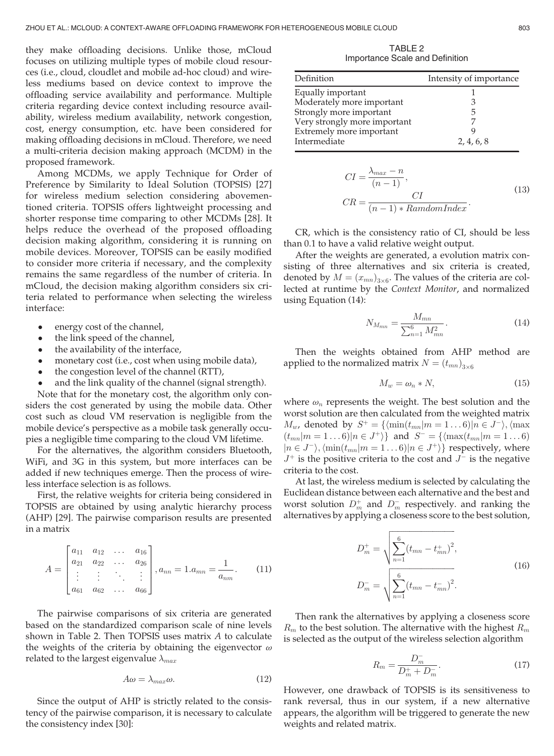they make offloading decisions. Unlike those, mCloud focuses on utilizing multiple types of mobile cloud resources (i.e., cloud, cloudlet and mobile ad-hoc cloud) and wireless mediums based on device context to improve the offloading service availability and performance. Multiple criteria regarding device context including resource availability, wireless medium availability, network congestion, cost, energy consumption, etc. have been considered for making offloading decisions in mCloud. Therefore, we need a multi-criteria decision making approach (MCDM) in the proposed framework.

Among MCDMs, we apply Technique for Order of Preference by Similarity to Ideal Solution (TOPSIS) [27] for wireless medium selection considering abovementioned criteria. TOPSIS offers lightweight processing and shorter response time comparing to other MCDMs [28]. It helps reduce the overhead of the proposed offloading decision making algorithm, considering it is running on mobile devices. Moreover, TOPSIS can be easily modified to consider more criteria if necessary, and the complexity remains the same regardless of the number of criteria. In mCloud, the decision making algorithm considers six criteria related to performance when selecting the wireless interface:

- energy cost of the channel,<br>• the link speed of the channel
- the link speed of the channel,
- the availability of the interface,
- monetary cost (i.e., cost when using mobile data),
- the congestion level of the channel (RTT),
- and the link quality of the channel (signal strength).

Note that for the monetary cost, the algorithm only considers the cost generated by using the mobile data. Other cost such as cloud VM reservation is negligible from the mobile device's perspective as a mobile task generally occupies a negligible time comparing to the cloud VM lifetime.

For the alternatives, the algorithm considers Bluetooth, WiFi, and 3G in this system, but more interfaces can be added if new techniques emerge. Then the process of wireless interface selection is as follows.

First, the relative weights for criteria being considered in TOPSIS are obtained by using analytic hierarchy process (AHP) [29]. The pairwise comparison results are presented in a matrix

$$
A = \begin{bmatrix} a_{11} & a_{12} & \dots & a_{16} \\ a_{21} & a_{22} & \dots & a_{26} \\ \vdots & \vdots & \ddots & \vdots \\ a_{61} & a_{62} & \dots & a_{66} \end{bmatrix}, a_{nn} = 1.a_{mn} = \frac{1}{a_{nm}}.
$$
 (11)

The pairwise comparisons of six criteria are generated based on the standardized comparison scale of nine levels shown in Table 2. Then TOPSIS uses matrix A to calculate the weights of the criteria by obtaining the eigenvector  $\omega$ related to the largest eigenvalue  $\lambda_{max}$ 

$$
A\omega = \lambda_{max}\omega.
$$
 (12)

Since the output of AHP is strictly related to the consistency of the pairwise comparison, it is necessary to calculate the consistency index [30]:

TABLE 2 Importance Scale and Definition

| Definition                   | Intensity of importance |
|------------------------------|-------------------------|
| Equally important            |                         |
| Moderately more important    |                         |
| Strongly more important      | 5                       |
| Very strongly more important |                         |
| Extremely more important     |                         |
| Intermediate                 | 2, 4, 6, 8              |

$$
CI = \frac{\lambda_{max} - n}{(n-1)},
$$
  
\n
$$
CR = \frac{CI}{(n-1) * RandomIndex}.
$$
\n(13)

CR, which is the consistency ratio of CI, should be less than 0.1 to have a valid relative weight output.

After the weights are generated, a evolution matrix consisting of three alternatives and six criteria is created, denoted by  $M = (x_{mn})_{3 \times 6}$ . The values of the criteria are collected at runtime by the Context Monitor, and normalized using Equation (14):

$$
N_{M_{mn}} = \frac{M_{mn}}{\sum_{n=1}^{6} M_{mn}^2}.
$$
 (14)

Then the weights obtained from AHP method are applied to the normalized matrix  $N = (t_{mn})_{3 \times 6}$ 

$$
M_w = \omega_n * N, \tag{15}
$$

where  $\omega_n$  represents the weight. The best solution and the worst solution are then calculated from the weighted matrix  $M_w$ , denoted by  $S^+ = {\min(t_{mn}|m = 1...6)|n \in J^-}$ , (max  $(t_{mn}|m = 1...6)|n \in J^+\rangle$  and  $S^- = {\text{max}(t_{mn}|m = 1...6)}$  $|n \in J^-\rangle$ ,  $\langle \min(t_{mn}|m = 1...6)|n \in J^+\rangle$  respectively, where  $J^+$  is the positive criteria to the cost and  $J^-$  is the negative criteria to the cost.

At last, the wireless medium is selected by calculating the Euclidean distance between each alternative and the best and worst solution  $D_m^+$  and  $D_m^-$  respectively. and ranking the alternatives by applying a closeness score to the best solution,

$$
D_m^+ = \sqrt{\sum_{n=1}^6 (t_{mn} - t_{mn}^+)^2},
$$
  
\n
$$
D_m^- = \sqrt{\sum_{n=1}^6 (t_{mn} - t_{mn}^-)^2}.
$$
\n(16)

Then rank the alternatives by applying a closeness score  $R_m$  to the best solution. The alternative with the highest  $R_m$ is selected as the output of the wireless selection algorithm

$$
R_m = \frac{D_m^-}{D_m^+ + D_m^-}.\tag{17}
$$

However, one drawback of TOPSIS is its sensitiveness to rank reversal, thus in our system, if a new alternative appears, the algorithm will be triggered to generate the new weights and related matrix.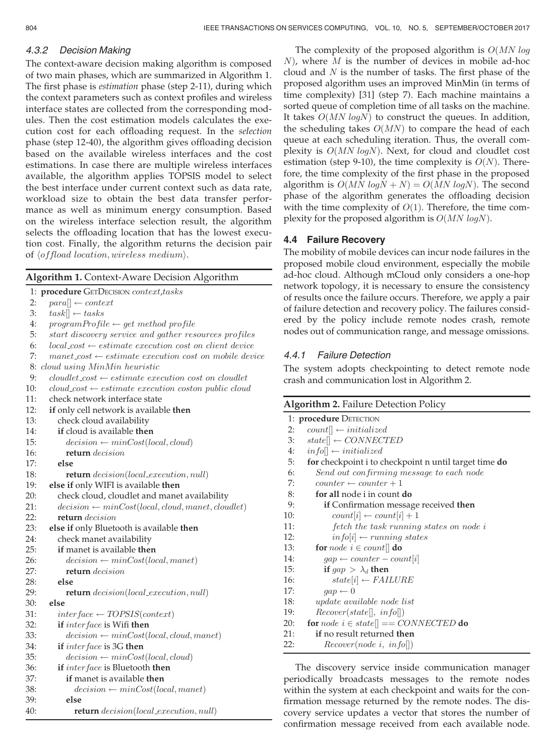# 4.3.2 Decision Making

The context-aware decision making algorithm is composed of two main phases, which are summarized in Algorithm 1. The first phase is estimation phase (step 2-11), during which the context parameters such as context profiles and wireless interface states are collected from the corresponding modules. Then the cost estimation models calculates the execution cost for each offloading request. In the selection phase (step 12-40), the algorithm gives offloading decision based on the available wireless interfaces and the cost estimations. In case there are multiple wireless interfaces available, the algorithm applies TOPSIS model to select the best interface under current context such as data rate, workload size to obtain the best data transfer performance as well as minimum energy consumption. Based on the wireless interface selection result, the algorithm selects the offloading location that has the lowest execution cost. Finally, the algorithm returns the decision pair of  $\langle$  of fload location, wireless medium $\rangle$ .

| <b>Algorithm 1. Context-Aware Decision Algorithm</b>                     |
|--------------------------------------------------------------------------|
| 1: procedure GETDECISION context, tasks                                  |
| 2:<br>$para$ [] $\leftarrow context$                                     |
| 3:<br>$task[] \leftarrow tasks$                                          |
| 4:<br>$programProfile \leftarrow get method profile$                     |
| 5:<br>start discovery service and gather resources profiles              |
| 6:<br>$local\_cost \leftarrow estimate$ execution cost on client device  |
| 7:<br>manet $\cos t \leftarrow$ estimate execution cost on mobile device |
| 8:<br>cloud using MinMin heuristic                                       |
| 9:<br>$cloudlet\_cost \leftarrow estimate$ execution cost on cloudlet    |
| 10:<br>$cloud\_cost \leftarrow estimate$ execution coston public cloud   |
| 11:<br>check network interface state                                     |
| 12:<br>if only cell network is available then                            |
| 13:<br>check cloud availability                                          |
| <b>if</b> cloud is available <b>then</b><br>14:                          |
| 15:<br>$decision \leftarrow minCost(local, cloud)$                       |
| return decision<br>16:                                                   |
| 17:<br>else                                                              |
| 18:<br><b>return</b> decision(local_execution, null)                     |
| 19:<br>else if only WIFI is available then                               |
| 20:<br>check cloud, cloudlet and manet availability                      |
| 21:<br>$decision \leftarrow minCost(local, cloud, manet, cloudlet)$      |
| 22:<br><b>return</b> decision                                            |
| 23:<br>else if only Bluetooth is available then                          |
| 24:<br>check manet availability                                          |
| 25:<br><b>if</b> manet is available <b>then</b>                          |
| 26:<br>$decision \leftarrow minCost(local,manet)$                        |
| 27:<br><b>return</b> decision                                            |
| 28:<br>else                                                              |
| 29:<br><b>return</b> decision(local_execution, null)                     |
| else<br>30:                                                              |
| 31:<br>$interface \leftarrow TOPSIS(context)$                            |
| 32:<br>if interface is Wifi then                                         |
| 33:<br>$decision \leftarrow minCost(local, cloud, manet)$                |
| 34:<br>if interface is 3G then                                           |
| 35:<br>$decision \leftarrow minCost(local, cloud)$                       |
| 36:<br><b>if</b> inter face is Bluetooth then                            |
| 37:<br>if manet is available then                                        |
| 38:<br>$decision \leftarrow minCost(local,manet)$                        |
| 39:<br>else                                                              |
| 40:<br><b>return</b> decision(local_execution, null)                     |

The complexity of the proposed algorithm is  $O(MN \log n)$  $N$ ), where  $M$  is the number of devices in mobile ad-hoc cloud and  $N$  is the number of tasks. The first phase of the proposed algorithm uses an improved MinMin (in terms of time complexity) [31] (step 7). Each machine maintains a sorted queue of completion time of all tasks on the machine. It takes  $O(MN \log N)$  to construct the queues. In addition, the scheduling takes  $O(MN)$  to compare the head of each the scheduling takes  $O(MN)$  to compare the head of each queue at each scheduling iteration. Thus, the overall complexity is  $O(MN \log N)$ . Next, for cloud and cloudlet cost estimation (step 9-10), the time complexity is  $O(N)$ . Therefore, the time complexity of the first phase in the proposed algorithm is  $O(MN log N + N) = O(MN log N)$ . The second phase of the algorithm generates the offloading decision with the time complexity of  $O(1)$ . Therefore, the time complexity for the proposed algorithm is  $O(MN \log N)$ .

# 4.4 Failure Recovery

The mobility of mobile devices can incur node failures in the proposed mobile cloud environment, especially the mobile ad-hoc cloud. Although mCloud only considers a one-hop network topology, it is necessary to ensure the consistency of results once the failure occurs. Therefore, we apply a pair of failure detection and recovery policy. The failures considered by the policy include remote nodes crash, remote nodes out of communication range, and message omissions.

# 4.4.1 Failure Detection

The system adopts checkpointing to detect remote node crash and communication lost in Algorithm 2.

| <b>Algorithm 2. Failure Detection Policy</b> |                                                              |  |  |  |  |
|----------------------------------------------|--------------------------------------------------------------|--|--|--|--|
|                                              | 1: procedure DETECTION                                       |  |  |  |  |
| 2:                                           | $count \rightarrow initialized$                              |  |  |  |  |
| 3:                                           | $state[] \leftarrow CONNECTED$                               |  |  |  |  |
| 4:                                           | $info$ $\sim$ initialized                                    |  |  |  |  |
| 5:                                           | for checkpoint i to checkpoint n until target time do        |  |  |  |  |
| 6:                                           | Send out confirming message to each node                     |  |  |  |  |
| 7:                                           | $counter \leftarrow counter + 1$                             |  |  |  |  |
| 8:                                           | for all node i in count do                                   |  |  |  |  |
| 9:                                           | <b>if</b> Confirmation message received <b>then</b>          |  |  |  |  |
| 10:                                          | $count[i] \leftarrow count[i] + 1$                           |  |  |  |  |
| 11:                                          | fetch the task running states on node i                      |  |  |  |  |
| 12:                                          | $in foji \leftarrow running states$                          |  |  |  |  |
| 13:                                          | for <i>node</i> $i \in count   $ do                          |  |  |  |  |
| 14:                                          | $gap \leftarrow counter - count[i]$                          |  |  |  |  |
| 15:                                          | if $qap > \lambda_d$ then                                    |  |  |  |  |
| 16:                                          | $state[i] \leftarrow FAILURE$                                |  |  |  |  |
| 17:                                          | $qap \leftarrow 0$                                           |  |  |  |  |
| 18:                                          | update available node list                                   |  |  |  |  |
| 19:                                          | Recover(state[], in fol                                      |  |  |  |  |
| 20:                                          | <b>for</b> node $i \in state$ $\equiv$ $CONNECTED$ <b>do</b> |  |  |  |  |
| 21:                                          | if no result returned then                                   |  |  |  |  |
| 22:                                          | $Recover(node\ i,\ info  )$                                  |  |  |  |  |
|                                              |                                                              |  |  |  |  |

The discovery service inside communication manager periodically broadcasts messages to the remote nodes within the system at each checkpoint and waits for the confirmation message returned by the remote nodes. The discovery service updates a vector that stores the number of confirmation message received from each available node.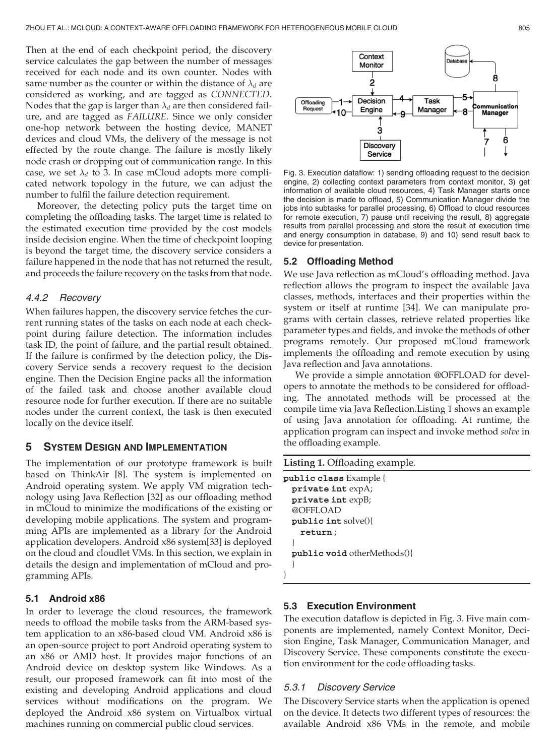Then at the end of each checkpoint period, the discovery service calculates the gap between the number of messages received for each node and its own counter. Nodes with same number as the counter or within the distance of  $\lambda_d$  are considered as working, and are tagged as CONNECTED. Nodes that the gap is larger than  $\lambda_d$  are then considered failure, and are tagged as FAILURE. Since we only consider one-hop network between the hosting device, MANET devices and cloud VMs, the delivery of the message is not effected by the route change. The failure is mostly likely node crash or dropping out of communication range. In this case, we set  $\lambda_d$  to 3. In case mCloud adopts more complicated network topology in the future, we can adjust the number to fulfil the failure detection requirement.

Moreover, the detecting policy puts the target time on completing the offloading tasks. The target time is related to the estimated execution time provided by the cost models inside decision engine. When the time of checkpoint looping is beyond the target time, the discovery service considers a failure happened in the node that has not returned the result, and proceeds the failure recovery on the tasks from that node.

#### 4.4.2 Recovery

When failures happen, the discovery service fetches the current running states of the tasks on each node at each checkpoint during failure detection. The information includes task ID, the point of failure, and the partial result obtained. If the failure is confirmed by the detection policy, the Discovery Service sends a recovery request to the decision engine. Then the Decision Engine packs all the information of the failed task and choose another available cloud resource node for further execution. If there are no suitable nodes under the current context, the task is then executed locally on the device itself.

## 5 SYSTEM DESIGN AND IMPLEMENTATION

The implementation of our prototype framework is built based on ThinkAir [8]. The system is implemented on Android operating system. We apply VM migration technology using Java Reflection [32] as our offloading method in mCloud to minimize the modifications of the existing or developing mobile applications. The system and programming APIs are implemented as a library for the Android application developers. Android x86 system[33] is deployed on the cloud and cloudlet VMs. In this section, we explain in details the design and implementation of mCloud and programming APIs.

#### 5.1 Android x86

In order to leverage the cloud resources, the framework needs to offload the mobile tasks from the ARM-based system application to an x86-based cloud VM. Android x86 is an open-source project to port Android operating system to an x86 or AMD host. It provides major functions of an Android device on desktop system like Windows. As a result, our proposed framework can fit into most of the existing and developing Android applications and cloud services without modifications on the program. We deployed the Android x86 system on Virtualbox virtual machines running on commercial public cloud services.



Fig. 3. Execution dataflow: 1) sending offloading request to the decision engine, 2) collecting context parameters from context monitor, 3) get information of available cloud resources, 4) Task Manager starts once the decision is made to offload, 5) Communication Manager divide the jobs into subtasks for parallel processing, 6) Offload to cloud resources for remote execution, 7) pause until receiving the result, 8) aggregate results from parallel processing and store the result of execution time and energy consumption in database, 9) and 10) send result back to device for presentation.

#### 5.2 Offloading Method

We use Java reflection as mCloud's offloading method. Java reflection allows the program to inspect the available Java classes, methods, interfaces and their properties within the system or itself at runtime [34]. We can manipulate programs with certain classes, retrieve related properties like parameter types and fields, and invoke the methods of other programs remotely. Our proposed mCloud framework implements the offloading and remote execution by using Java reflection and Java annotations.

We provide a simple annotation @OFFLOAD for developers to annotate the methods to be considered for offloading. The annotated methods will be processed at the compile time via Java Reflection.Listing 1 shows an example of using Java annotation for offloading. At runtime, the application program can inspect and invoke method solve in the offloading example.

|  | Listing 1. Offloading example. |  |
|--|--------------------------------|--|
|--|--------------------------------|--|

| <b>public class</b> Example {      |
|------------------------------------|
| private int expA;                  |
| private int expB;                  |
| @OFFLOAD                           |
| public int solve()                 |
| return;                            |
|                                    |
| <b>public void</b> otherMethods(){ |
|                                    |
|                                    |
|                                    |

#### 5.3 Execution Environment

The execution dataflow is depicted in Fig. 3. Five main components are implemented, namely Context Monitor, Decision Engine, Task Manager, Communication Manager, and Discovery Service. These components constitute the execution environment for the code offloading tasks.

#### 5.3.1 Discovery Service

The Discovery Service starts when the application is opened on the device. It detects two different types of resources: the available Android x86 VMs in the remote, and mobile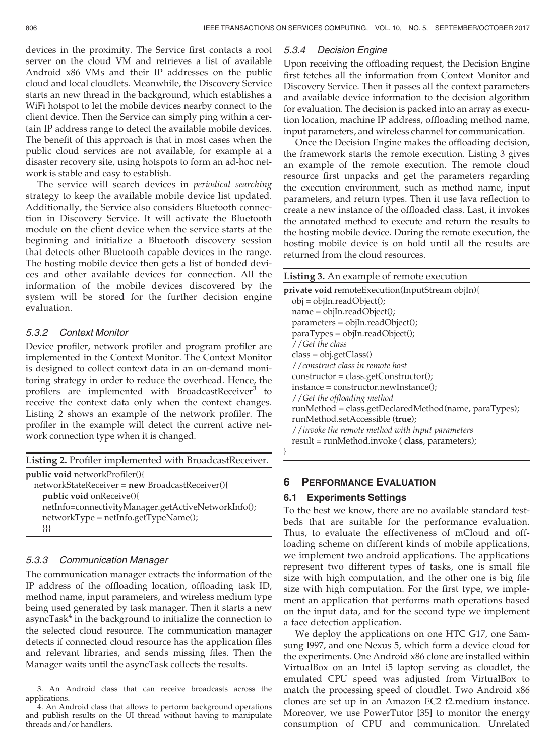devices in the proximity. The Service first contacts a root server on the cloud VM and retrieves a list of available Android x86 VMs and their IP addresses on the public cloud and local cloudlets. Meanwhile, the Discovery Service starts an new thread in the background, which establishes a WiFi hotspot to let the mobile devices nearby connect to the client device. Then the Service can simply ping within a certain IP address range to detect the available mobile devices. The benefit of this approach is that in most cases when the public cloud services are not available, for example at a disaster recovery site, using hotspots to form an ad-hoc network is stable and easy to establish.

The service will search devices in periodical searching strategy to keep the available mobile device list updated. Additionally, the Service also considers Bluetooth connection in Discovery Service. It will activate the Bluetooth module on the client device when the service starts at the beginning and initialize a Bluetooth discovery session that detects other Bluetooth capable devices in the range. The hosting mobile device then gets a list of bonded devices and other available devices for connection. All the information of the mobile devices discovered by the system will be stored for the further decision engine evaluation.

#### 5.3.2 Context Monitor

Device profiler, network profiler and program profiler are implemented in the Context Monitor. The Context Monitor is designed to collect context data in an on-demand monitoring strategy in order to reduce the overhead. Hence, the profilers are implemented with BroadcastReceiver<sup>3</sup> to receive the context data only when the context changes. Listing 2 shows an example of the network profiler. The profiler in the example will detect the current active network connection type when it is changed.

| Listing 2. Profiler implemented with BroadcastReceiver. |
|---------------------------------------------------------|
| <b>public void networkProfiler(){</b>                   |
| $networkStateReceiver = new BroadcastReceiver()$        |
| <b>public void on Receive</b> (){                       |
| netInfo=connectivityManager.getActiveNetworkInfo();     |
| networkType = netInfo.getTypeName();                    |
| }}}                                                     |
|                                                         |

## 5.3.3 Communication Manager

The communication manager extracts the information of the IP address of the offloading location, offloading task ID, method name, input parameters, and wireless medium type being used generated by task manager. Then it starts a new async $Task<sup>4</sup>$  in the background to initialize the connection to the selected cloud resource. The communication manager detects if connected cloud resource has the application files and relevant libraries, and sends missing files. Then the Manager waits until the asyncTask collects the results.

3. An Android class that can receive broadcasts across the applications.

# 5.3.4 Decision Engine

Upon receiving the offloading request, the Decision Engine first fetches all the information from Context Monitor and Discovery Service. Then it passes all the context parameters and available device information to the decision algorithm for evaluation. The decision is packed into an array as execution location, machine IP address, offloading method name, input parameters, and wireless channel for communication.

Once the Decision Engine makes the offloading decision, the framework starts the remote execution. Listing 3 gives an example of the remote execution. The remote cloud resource first unpacks and get the parameters regarding the execution environment, such as method name, input parameters, and return types. Then it use Java reflection to create a new instance of the offloaded class. Last, it invokes the annotated method to execute and return the results to the hosting mobile device. During the remote execution, the hosting mobile device is on hold until all the results are returned from the cloud resources.

## Listing 3. An example of remote execution

| <b>private void remoteExecution(InputStream objIn){</b> |
|---------------------------------------------------------|
| $obj = objIn.readObject()$ ;                            |
| $name = objIn.readObject();$                            |
| $parameters = objIn.readObject();$                      |
| $paraTypes = objIn.readObject();$                       |
| //Get the class                                         |
| $class = obj.getClass()$                                |
| //construct class in remote host                        |
| constructor = class.getConstructor();                   |
| instance = constructor.newInstance();                   |
| //Get the offloading method                             |
| runMethod = class.getDeclaredMethod(name, paraTypes);   |
| runMethod.setAccessible (true);                         |
| //invoke the remote method with input parameters        |
| result = runMethod.invoke (class, parameters);          |
|                                                         |

# 6 PERFORMANCE EVALUATION

## 6.1 Experiments Settings

To the best we know, there are no available standard testbeds that are suitable for the performance evaluation. Thus, to evaluate the effectiveness of mCloud and offloading scheme on different kinds of mobile applications, we implement two android applications. The applications represent two different types of tasks, one is small file size with high computation, and the other one is big file size with high computation. For the first type, we implement an application that performs math operations based on the input data, and for the second type we implement a face detection application.

We deploy the applications on one HTC G17, one Samsung I997, and one Nexus 5, which form a device cloud for the experiments. One Android x86 clone are installed within VirtualBox on an Intel i5 laptop serving as cloudlet, the emulated CPU speed was adjusted from VirtualBox to match the processing speed of cloudlet. Two Android x86 clones are set up in an Amazon EC2 t2.medium instance. Moreover, we use PowerTutor [35] to monitor the energy consumption of CPU and communication. Unrelated

<sup>4.</sup> An Android class that allows to perform background operations and publish results on the UI thread without having to manipulate threads and/or handlers.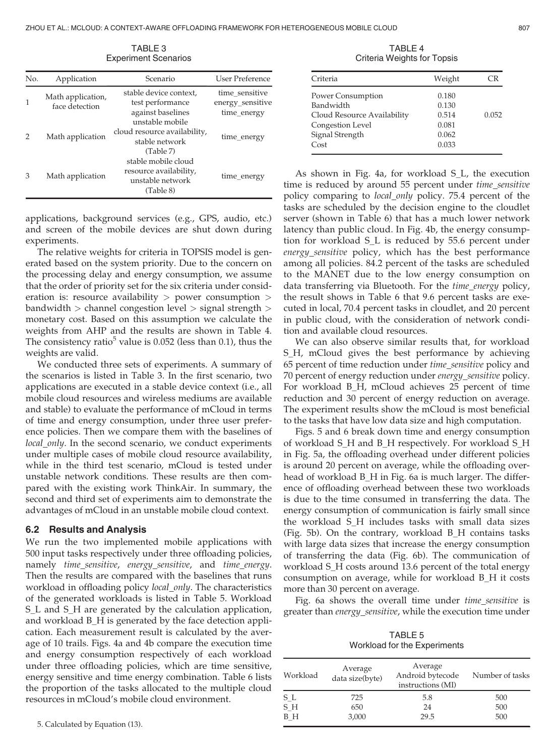TABLE 3 Experiment Scenarios

| No. | Application                         | Scenario                                                                       | User Preference                                   |
|-----|-------------------------------------|--------------------------------------------------------------------------------|---------------------------------------------------|
|     | Math application,<br>face detection | stable device context,<br>test performance<br>against baselines                | time sensitive<br>energy_sensitive<br>time_energy |
|     | Math application                    | unstable mobile<br>cloud resource availability,<br>stable network<br>(Table 7) | time_energy                                       |
| З   | Math application                    | stable mobile cloud<br>resource availability,<br>unstable network<br>(Table 8) | time energy                                       |

applications, background services (e.g., GPS, audio, etc.) and screen of the mobile devices are shut down during experiments.

The relative weights for criteria in TOPSIS model is generated based on the system priority. Due to the concern on the processing delay and energy consumption, we assume that the order of priority set for the six criteria under consideration is: resource availability > power consumption > bandwidth > channel congestion level > signal strength > monetary cost. Based on this assumption we calculate the weights from AHP and the results are shown in Table 4. The consistency ratio<sup>5</sup> value is 0.052 (less than 0.1), thus the weights are valid.

We conducted three sets of experiments. A summary of the scenarios is listed in Table 3. In the first scenario, two applications are executed in a stable device context (i.e., all mobile cloud resources and wireless mediums are available and stable) to evaluate the performance of mCloud in terms of time and energy consumption, under three user preference policies. Then we compare them with the baselines of local\_only. In the second scenario, we conduct experiments under multiple cases of mobile cloud resource availability, while in the third test scenario, mCloud is tested under unstable network conditions. These results are then compared with the existing work ThinkAir. In summary, the second and third set of experiments aim to demonstrate the advantages of mCloud in an unstable mobile cloud context.

## 6.2 Results and Analysis

We run the two implemented mobile applications with 500 input tasks respectively under three offloading policies, namely time\_sensitive, energy\_sensitive, and time\_energy. Then the results are compared with the baselines that runs workload in offloading policy local\_only. The characteristics of the generated workloads is listed in Table 5. Workload S\_L and S\_H are generated by the calculation application, and workload B\_H is generated by the face detection application. Each measurement result is calculated by the average of 10 trails. Figs. 4a and 4b compare the execution time and energy consumption respectively of each workload under three offloading policies, which are time sensitive, energy sensitive and time energy combination. Table 6 lists the proportion of the tasks allocated to the multiple cloud resources in mCloud's mobile cloud environment.

| Criteria                    | Weight | ΞК    |
|-----------------------------|--------|-------|
| Power Consumption           | 0.180  |       |
| Bandwidth                   | 0.130  |       |
| Cloud Resource Availability | 0.514  | 0.052 |
| Congestion Level            | 0.081  |       |
| Signal Strength             | 0.062  |       |
| Cost                        | 0.033  |       |

As shown in Fig. 4a, for workload S\_L, the execution time is reduced by around 55 percent under time\_sensitive policy comparing to local\_only policy. 75.4 percent of the tasks are scheduled by the decision engine to the cloudlet server (shown in Table 6) that has a much lower network latency than public cloud. In Fig. 4b, the energy consumption for workload S\_L is reduced by 55.6 percent under energy\_sensitive policy, which has the best performance among all policies. 84.2 percent of the tasks are scheduled to the MANET due to the low energy consumption on data transferring via Bluetooth. For the time\_energy policy, the result shows in Table 6 that 9.6 percent tasks are executed in local, 70.4 percent tasks in cloudlet, and 20 percent in public cloud, with the consideration of network condition and available cloud resources.

We can also observe similar results that, for workload S\_H, mCloud gives the best performance by achieving 65 percent of time reduction under time\_sensitive policy and 70 percent of energy reduction under energy\_sensitive policy. For workload B\_H, mCloud achieves 25 percent of time reduction and 30 percent of energy reduction on average. The experiment results show the mCloud is most beneficial to the tasks that have low data size and high computation.

Figs. 5 and 6 break down time and energy consumption of workload S\_H and B\_H respectively. For workload S\_H in Fig. 5a, the offloading overhead under different policies is around 20 percent on average, while the offloading overhead of workload B H in Fig. 6a is much larger. The difference of offloading overhead between these two workloads is due to the time consumed in transferring the data. The energy consumption of communication is fairly small since the workload S\_H includes tasks with small data sizes (Fig. 5b). On the contrary, workload B\_H contains tasks with large data sizes that increase the energy consumption of transferring the data (Fig. 6b). The communication of workload S\_H costs around 13.6 percent of the total energy consumption on average, while for workload B\_H it costs more than 30 percent on average.

Fig. 6a shows the overall time under time\_sensitive is greater than energy\_sensitive, while the execution time under

TABLE 5 Workload for the Experiments

| Workload | Average<br>data size(byte) | Average<br>Android bytecode<br>instructions (MI) | Number of tasks |
|----------|----------------------------|--------------------------------------------------|-----------------|
| $S_L$    | 725                        | 5.8                                              | 500             |
| S H      | 650                        | 24                                               | 500             |
| B H      | 3,000                      | 29.5                                             | 500             |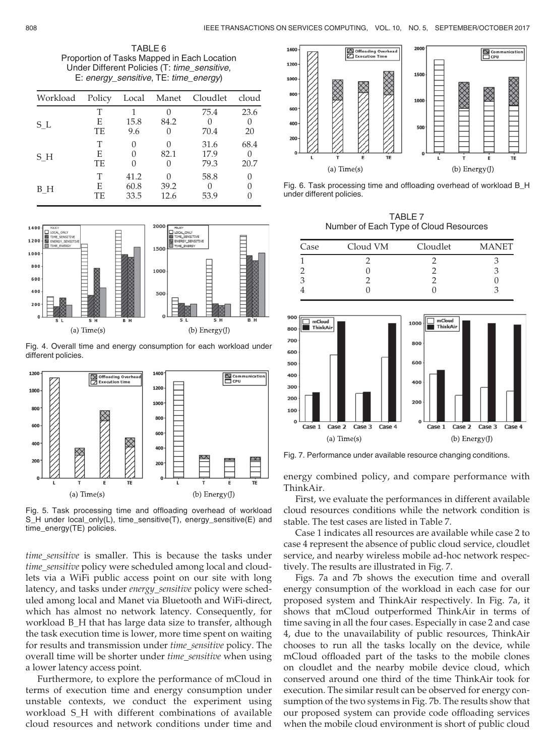TABLE 6 Proportion of Tasks Mapped in Each Location Under Different Policies (T: time\_sensitive, E: energy\_sensitive, TE: time\_energy)

| Workload Policy |              |                                  |                   | Local Manet Cloudlet | cloud        |
|-----------------|--------------|----------------------------------|-------------------|----------------------|--------------|
| S L             | Т<br>E<br>TE | 15.8<br>9.6                      | 84.2              | 75.4<br>70.4         | 23.6<br>20   |
| S H             | T<br>E<br>TE | $\Omega$<br>$\Omega$<br>$\Omega$ | 82.1              | 31.6<br>17.9<br>79.3 | 68.4<br>20.7 |
| BН              | т<br>E<br>TE | 41.2<br>60.8<br>33.5             | 0<br>39.2<br>12.6 | 58.8<br>53.9         |              |



Fig. 4. Overall time and energy consumption for each workload under different policies.



Fig. 5. Task processing time and offloading overhead of workload S\_H under local\_only(L), time\_sensitive(T), energy\_sensitive(E) and time\_energy(TE) policies.

time\_sensitive is smaller. This is because the tasks under time\_sensitive policy were scheduled among local and cloudlets via a WiFi public access point on our site with long latency, and tasks under energy\_sensitive policy were scheduled among local and Manet via Bluetooth and WiFi-direct, which has almost no network latency. Consequently, for workload B\_H that has large data size to transfer, although the task execution time is lower, more time spent on waiting for results and transmission under time\_sensitive policy. The overall time will be shorter under time\_sensitive when using a lower latency access point.

Furthermore, to explore the performance of mCloud in terms of execution time and energy consumption under unstable contexts, we conduct the experiment using workload S\_H with different combinations of available cloud resources and network conditions under time and



Fig. 6. Task processing time and offloading overhead of workload B\_H under different policies.

TABLE 7 Number of Each Type of Cloud Resources





Fig. 7. Performance under available resource changing conditions.

energy combined policy, and compare performance with ThinkAir.

First, we evaluate the performances in different available cloud resources conditions while the network condition is stable. The test cases are listed in Table 7.

Case 1 indicates all resources are available while case 2 to case 4 represent the absence of public cloud service, cloudlet service, and nearby wireless mobile ad-hoc network respectively. The results are illustrated in Fig. 7.

Figs. 7a and 7b shows the execution time and overall energy consumption of the workload in each case for our proposed system and ThinkAir respectively. In Fig. 7a, it shows that mCloud outperformed ThinkAir in terms of time saving in all the four cases. Especially in case 2 and case 4, due to the unavailability of public resources, ThinkAir chooses to run all the tasks locally on the device, while mCloud offloaded part of the tasks to the mobile clones on cloudlet and the nearby mobile device cloud, which conserved around one third of the time ThinkAir took for execution. The similar result can be observed for energy consumption of the two systems in Fig. 7b. The results show that our proposed system can provide code offloading services when the mobile cloud environment is short of public cloud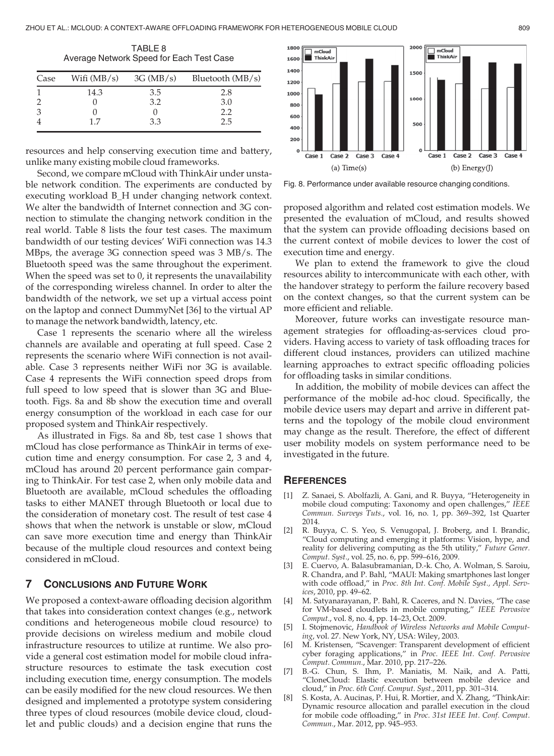TABLE 8 Average Network Speed for Each Test Case

| Case |      | Wifi $(MB/s)$ 3G $(MB/s)$ | Bluetooth $(MB/s)$ |
|------|------|---------------------------|--------------------|
|      | 14.3 | 3.5                       | 2.8                |
|      |      | 3.2                       | 3.0                |
|      |      |                           | 2.2                |
|      | 17   | 3.3                       | 2.5                |

resources and help conserving execution time and battery, unlike many existing mobile cloud frameworks.

Second, we compare mCloud with ThinkAir under unstable network condition. The experiments are conducted by executing workload B\_H under changing network context. We alter the bandwidth of Internet connection and 3G connection to stimulate the changing network condition in the real world. Table 8 lists the four test cases. The maximum bandwidth of our testing devices' WiFi connection was 14.3 MBps, the average 3G connection speed was 3 MB/s. The Bluetooth speed was the same throughout the experiment. When the speed was set to 0, it represents the unavailability of the corresponding wireless channel. In order to alter the bandwidth of the network, we set up a virtual access point on the laptop and connect DummyNet [36] to the virtual AP to manage the network bandwidth, latency, etc.

Case 1 represents the scenario where all the wireless channels are available and operating at full speed. Case 2 represents the scenario where WiFi connection is not available. Case 3 represents neither WiFi nor 3G is available. Case 4 represents the WiFi connection speed drops from full speed to low speed that is slower than 3G and Bluetooth. Figs. 8a and 8b show the execution time and overall energy consumption of the workload in each case for our proposed system and ThinkAir respectively.

As illustrated in Figs. 8a and 8b, test case 1 shows that mCloud has close performance as ThinkAir in terms of execution time and energy consumption. For case 2, 3 and 4, mCloud has around 20 percent performance gain comparing to ThinkAir. For test case 2, when only mobile data and Bluetooth are available, mCloud schedules the offloading tasks to either MANET through Bluetooth or local due to the consideration of monetary cost. The result of test case 4 shows that when the network is unstable or slow, mCloud can save more execution time and energy than ThinkAir because of the multiple cloud resources and context being considered in mCloud.

# 7 CONCLUSIONS AND FUTURE WORK

We proposed a context-aware offloading decision algorithm that takes into consideration context changes (e.g., network conditions and heterogeneous mobile cloud resource) to provide decisions on wireless medium and mobile cloud infrastructure resources to utilize at runtime. We also provide a general cost estimation model for mobile cloud infrastructure resources to estimate the task execution cost including execution time, energy consumption. The models can be easily modified for the new cloud resources. We then designed and implemented a prototype system considering three types of cloud resources (mobile device cloud, cloudlet and public clouds) and a decision engine that runs the



Fig. 8. Performance under available resource changing conditions.

proposed algorithm and related cost estimation models. We presented the evaluation of mCloud, and results showed that the system can provide offloading decisions based on the current context of mobile devices to lower the cost of execution time and energy.

We plan to extend the framework to give the cloud resources ability to intercommunicate with each other, with the handover strategy to perform the failure recovery based on the context changes, so that the current system can be more efficient and reliable.

Moreover, future works can investigate resource management strategies for offloading-as-services cloud providers. Having access to variety of task offloading traces for different cloud instances, providers can utilized machine learning approaches to extract specific offloading policies for offloading tasks in similar conditions.

In addition, the mobility of mobile devices can affect the performance of the mobile ad-hoc cloud. Specifically, the mobile device users may depart and arrive in different patterns and the topology of the mobile cloud environment may change as the result. Therefore, the effect of different user mobility models on system performance need to be investigated in the future.

## **REFERENCES**

- [1] Z. Sanaei, S. Abolfazli, A. Gani, and R. Buyya, "Heterogeneity in mobile cloud computing: Taxonomy and open challenges," IEEE Commun. Surveys Tuts., vol. 16, no. 1, pp. 369–392, 1st Quarter 2014.
- [2] R. Buyya, C. S. Yeo, S. Venugopal, J. Broberg, and I. Brandic, "Cloud computing and emerging it platforms: Vision, hype, and reality for delivering computing as the 5th utility," Future Gener. Comput. Syst., vol. 25, no. 6, pp. 599–616, 2009.
- [3] E. Cuervo, A. Balasubramanian, D.-k. Cho, A. Wolman, S. Saroiu, R. Chandra, and P. Bahl, "MAUI: Making smartphones last longer with code offload," in Proc. 8th Int. Conf. Mobile Syst., Appl. Services, 2010, pp. 49–62.
- [4] M. Satyanarayanan, P. Bahl, R. Caceres, and N. Davies, "The case for VM-based cloudlets in mobile computing," IEEE Pervasive Comput., vol. 8, no. 4, pp. 14–23, Oct. 2009.
- I. Stojmenovic, Handbook of Wireless Networks and Mobile Computing, vol. 27. New York, NY, USA: Wiley, 2003.
- [6] M. Kristensen, "Scavenger: Transparent development of efficient cyber foraging applications," in Proc. IEEE Int. Conf. Pervasive Comput. Commun., Mar. 2010, pp. 217–226.
- [7] B.-G. Chun, S. Ihm, P. Maniatis, M. Naik, and A. Patti, "CloneCloud: Elastic execution between mobile device and cloud," in Proc. 6th Conf. Comput. Syst., 2011, pp. 301–314.
- [8] S. Kosta, A. Aucinas, P. Hui, R. Mortier, and X. Zhang, "ThinkAir: Dynamic resource allocation and parallel execution in the cloud for mobile code offloading," in Proc. 31st IEEE Int. Conf. Comput. Commun., Mar. 2012, pp. 945–953.